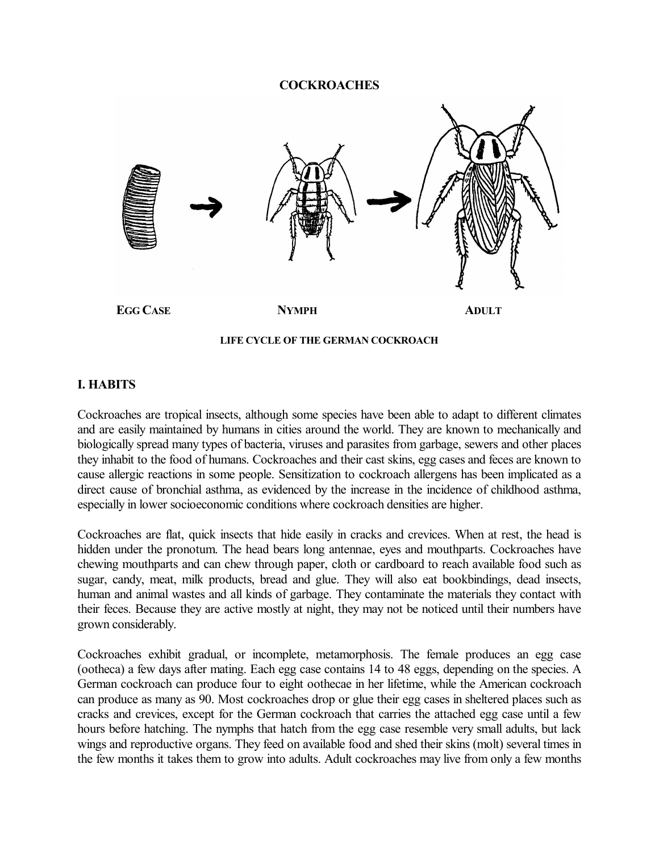#### **COCKROACHES**



#### **LIFE CYCLE OF THE GERMAN COCKROACH**

## **I. HABITS**

Cockroaches are tropical insects, although some species have been able to adapt to different climates and are easily maintained by humans in cities around the world. They are known to mechanically and biologically spread many types of bacteria, viruses and parasites from garbage, sewers and other places they inhabit to the food of humans. Cockroaches and their cast skins, egg cases and feces are known to cause allergic reactions in some people. Sensitization to cockroach allergens has been implicated as a direct cause of bronchial asthma, as evidenced by the increase in the incidence of childhood asthma, especially in lower socioeconomic conditions where cockroach densities are higher.

Cockroaches are flat, quick insects that hide easily in cracks and crevices. When at rest, the head is hidden under the pronotum. The head bears long antennae, eyes and mouthparts. Cockroaches have chewing mouthparts and can chew through paper, cloth or cardboard to reach available food such as sugar, candy, meat, milk products, bread and glue. They will also eat bookbindings, dead insects, human and animal wastes and all kinds of garbage. They contaminate the materials they contact with their feces. Because they are active mostly at night, they may not be noticed until their numbers have grown considerably.

Cockroaches exhibit gradual, or incomplete, metamorphosis. The female produces an egg case (ootheca) a few days after mating. Each egg case contains 14 to 48 eggs, depending on the species. A German cockroach can produce four to eight oothecae in her lifetime, while the American cockroach can produce as many as 90. Most cockroaches drop or glue their egg cases in sheltered places such as cracks and crevices, except for the German cockroach that carries the attached egg case until a few hours before hatching. The nymphs that hatch from the egg case resemble very small adults, but lack wings and reproductive organs. They feed on available food and shed their skins (molt) several times in the few months it takes them to grow into adults. Adult cockroaches may live from only a few months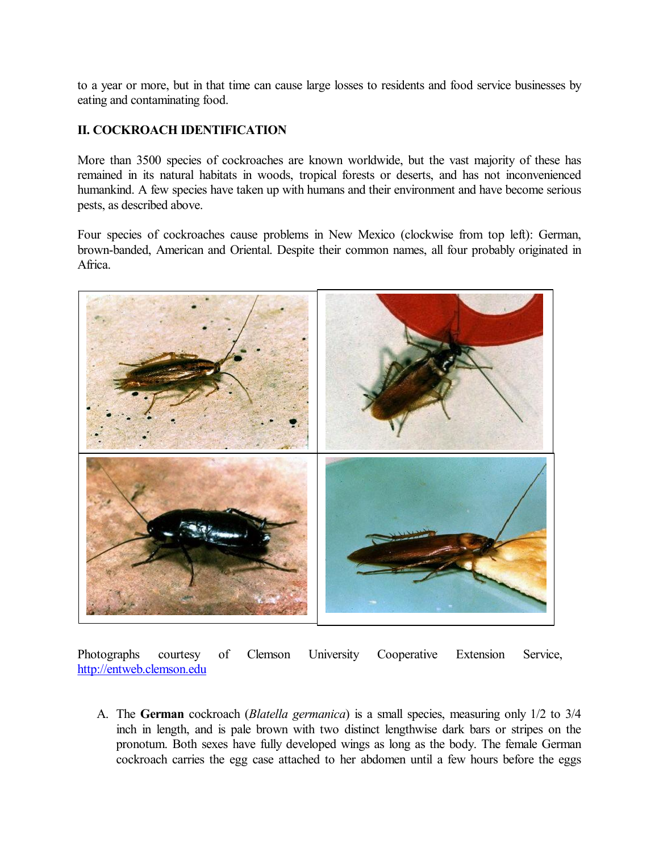to a year or more, but in that time can cause large losses to residents and food service businesses by eating and contaminating food.

## **II. COCKROACH IDENTIFICATION**

More than 3500 species of cockroaches are known worldwide, but the vast majority of these has remained in its natural habitats in woods, tropical forests or deserts, and has not inconvenienced humankind. A few species have taken up with humans and their environment and have become serious pests, as described above.

Four species of cockroaches cause problems in New Mexico (clockwise from top left): German, brown-banded, American and Oriental. Despite their common names, all four probably originated in Africa.



Photographs courtesy of Clemson University Cooperative Extension Service, [http://entweb.clemson.edu](http://entweb.clemson.edu/)

A. The **German** cockroach (*Blatella germanica*) is a small species, measuring only 1/2 to 3/4 inch in length, and is pale brown with two distinct lengthwise dark bars or stripes on the pronotum. Both sexes have fully developed wings as long as the body. The female German cockroach carries the egg case attached to her abdomen until a few hours before the eggs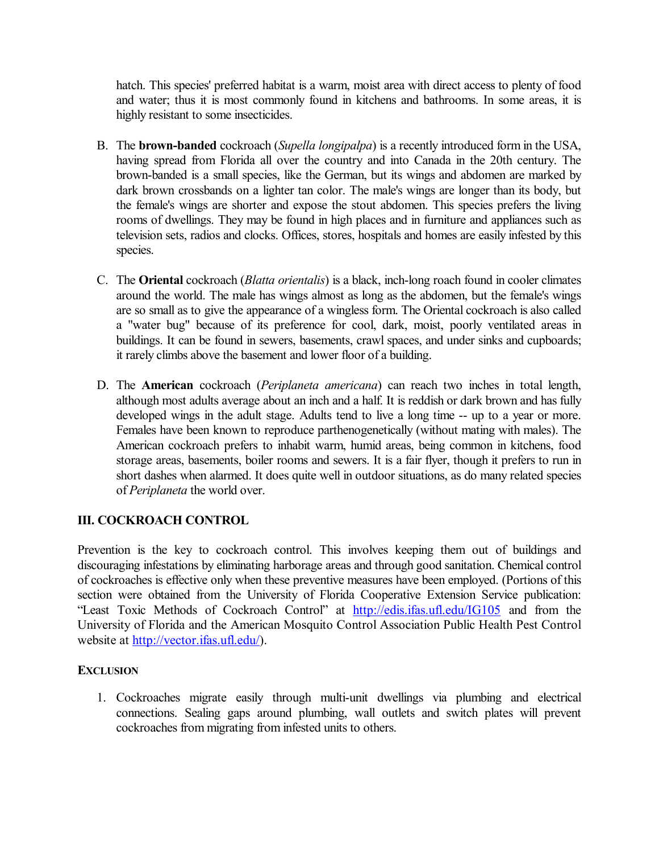hatch. This species' preferred habitat is a warm, moist area with direct access to plenty of food and water; thus it is most commonly found in kitchens and bathrooms. In some areas, it is highly resistant to some insecticides.

- B. The **brown-banded** cockroach (*Supella longipalpa*) is a recently introduced form in the USA, having spread from Florida all over the country and into Canada in the 20th century. The brown-banded is a small species, like the German, but its wings and abdomen are marked by dark brown crossbands on a lighter tan color. The male's wings are longer than its body, but the female's wings are shorter and expose the stout abdomen. This species prefers the living rooms of dwellings. They may be found in high places and in furniture and appliances such as television sets, radios and clocks. Offices, stores, hospitals and homes are easily infested by this species.
- C. The **Oriental** cockroach (*Blatta orientalis*) is a black, inchlong roach found in cooler climates around the world. The male has wings almost as long as the abdomen, but the female's wings are so small as to give the appearance of a wingless form. The Oriental cockroach is also called a "water bug" because of its preference for cool, dark, moist, poorly ventilated areas in buildings. It can be found in sewers, basements, crawl spaces, and under sinks and cupboards; it rarely climbs above the basement and lower floor of a building.
- D. The **American** cockroach (*Periplaneta americana*) can reach two inches in total length, although most adults average about an inch and a half. It is reddish or dark brown and has fully developed wings in the adult stage. Adults tend to live a long time -- up to a year or more. Females have been known to reproduce parthenogenetically (without mating with males). The American cockroach prefers to inhabit warm, humid areas, being common in kitchens, food storage areas, basements, boiler rooms and sewers. It is a fair flyer, though it prefers to run in short dashes when alarmed. It does quite well in outdoor situations, as do many related species of *Periplaneta* the world over.

# **III. COCKROACH CONTROL**

Prevention is the key to cockroach control. This involves keeping them out of buildings and discouraging infestations by eliminating harborage areas and through good sanitation. Chemical control of cockroaches is effective only when these preventive measures have been employed. (Portions of this section were obtained from the University of Florida Cooperative Extension Service publication: "Least Toxic Methods of Cockroach Control" at <http://edis.ifas.ufl.edu/IG105> and from the University of Florida and the American Mosquito Control Association Public Health Pest Control website at <http://vector.ifas.ufl.edu/>).

#### **EXCLUSION**

1. Cockroaches migrate easily through multi-unit dwellings via plumbing and electrical connections. Sealing gaps around plumbing, wall outlets and switch plates will prevent cockroaches from migrating from infested units to others.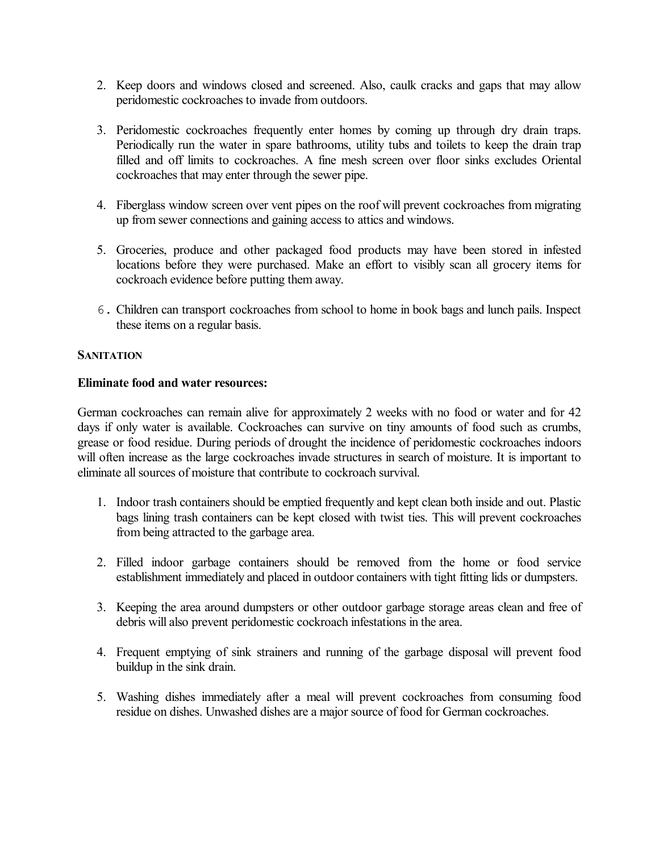- 2. Keep doors and windows closed and screened. Also, caulk cracks and gaps that may allow peridomestic cockroaches to invade from outdoors.
- 3. Peridomestic cockroaches frequently enter homes by coming up through dry drain traps. Periodically run the water in spare bathrooms, utility tubs and toilets to keep the drain trap filled and off limits to cockroaches. A fine mesh screen over floor sinks excludes Oriental cockroaches that may enter through the sewer pipe.
- 4. Fiberglass window screen over vent pipes on the roof will prevent cockroaches from migrating up from sewer connections and gaining access to attics and windows.
- 5. Groceries, produce and other packaged food products may have been stored in infested locations before they were purchased. Make an effort to visibly scan all grocery items for cockroach evidence before putting them away.
- 6. Children can transport cockroaches from school to home in book bags and lunch pails. Inspect these items on a regular basis.

## **SANITATION**

#### **Eliminate food and water resources:**

German cockroaches can remain alive for approximately 2 weeks with no food or water and for 42 days if only water is available. Cockroaches can survive on tiny amounts of food such as crumbs, grease or food residue. During periods of drought the incidence of peridomestic cockroaches indoors will often increase as the large cockroaches invade structures in search of moisture. It is important to eliminate all sources of moisture that contribute to cockroach survival.

- 1. Indoor trash containers should be emptied frequently and kept clean both inside and out. Plastic bags lining trash containers can be kept closed with twist ties. This will prevent cockroaches from being attracted to the garbage area.
- 2. Filled indoor garbage containers should be removed from the home or food service establishment immediately and placed in outdoor containers with tight fitting lids or dumpsters.
- 3. Keeping the area around dumpsters or other outdoor garbage storage areas clean and free of debris will also prevent peridomestic cockroach infestations in the area.
- 4. Frequent emptying of sink strainers and running of the garbage disposal will prevent food buildup in the sink drain.
- 5. Washing dishes immediately after a meal will prevent cockroaches from consuming food residue on dishes. Unwashed dishes are a major source of food for German cockroaches.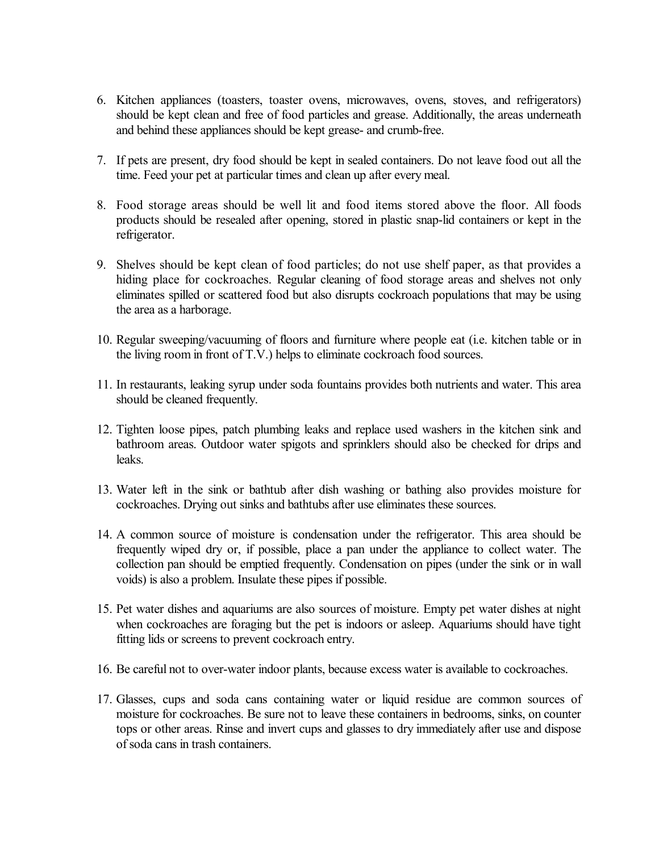- 6. Kitchen appliances (toasters, toaster ovens, microwaves, ovens, stoves, and refrigerators) should be kept clean and free of food particles and grease. Additionally, the areas underneath and behind these appliances should be kept grease- and crumb-free.
- 7. If pets are present, dry food should be kept in sealed containers. Do not leave food out all the time. Feed your pet at particular times and clean up after every meal.
- 8. Food storage areas should be well lit and food items stored above the floor. All foods products should be resealed after opening, stored in plastic snaplid containers or kept in the refrigerator.
- 9. Shelves should be kept clean of food particles; do not use shelf paper, as that provides a hiding place for cockroaches. Regular cleaning of food storage areas and shelves not only eliminates spilled or scattered food but also disrupts cockroach populations that may be using the area as a harborage.
- 10. Regular sweeping/vacuuming of floors and furniture where people eat (i.e. kitchen table or in the living room in front of  $T.V.$ ) helps to eliminate cockroach food sources.
- 11. In restaurants, leaking syrup under soda fountains provides both nutrients and water. This area should be cleaned frequently.
- 12. Tighten loose pipes, patch plumbing leaks and replace used washers in the kitchen sink and bathroom areas. Outdoor water spigots and sprinklers should also be checked for drips and leaks.
- 13. Water left in the sink or bathtub after dish washing or bathing also provides moisture for cockroaches. Drying out sinks and bathtubs after use eliminates these sources.
- 14. A common source of moisture is condensation under the refrigerator. This area should be frequently wiped dry or, if possible, place a pan under the appliance to collect water. The collection pan should be emptied frequently. Condensation on pipes (under the sink or in wall voids) is also a problem. Insulate these pipes if possible.
- 15. Pet water dishes and aquariums are also sources of moisture. Empty pet water dishes at night when cockroaches are foraging but the pet is indoors or asleep. Aquariums should have tight fitting lids or screens to prevent cockroach entry.
- 16. Be careful not to overwater indoor plants, because excess water is available to cockroaches.
- 17. Glasses, cups and soda cans containing water or liquid residue are common sources of moisture for cockroaches. Be sure not to leave these containers in bedrooms, sinks, on counter tops or other areas. Rinse and invert cups and glasses to dry immediately after use and dispose ofsoda cans in trash containers.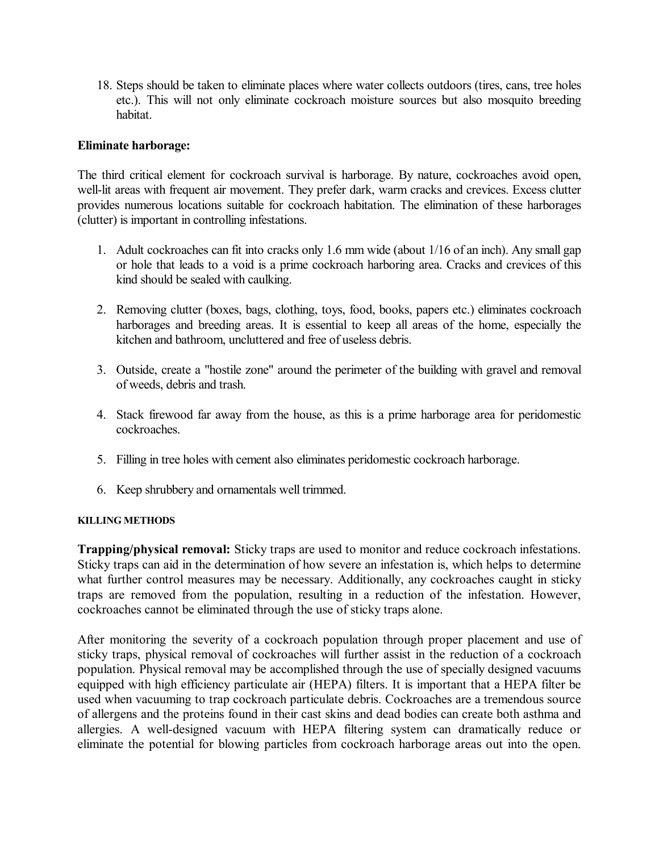18. Steps should be taken to eliminate places where water collects outdoors (tires, cans, tree holes etc.). This will not only eliminate cockroach moisture sources but also mosquito breeding habitat.

## **Eliminate harborage:**

The third critical element for cockroach survival is harborage. By nature, cockroaches avoid open, well-lit areas with frequent air movement. They prefer dark, warm cracks and crevices. Excess clutter provides numerous locations suitable for cockroach habitation. The elimination of these harborages (clutter) is important in controlling infestations.

- 1. Adult cockroaches can fit into cracks only 1.6 mm wide (about 1/16 of an inch). Any small gap or hole that leads to a void is a prime cockroach harboring area. Cracks and crevices of this kind should be sealed with caulking.
- 2. Removing clutter (boxes, bags, clothing, toys, food, books, papers etc.) eliminates cockroach harborages and breeding areas. It is essential to keep all areas of the home, especially the kitchen and bathroom, uncluttered and free of useless debris.
- 3. Outside, create a "hostile zone" around the perimeter of the building with gravel and removal of weeds, debris and trash.
- 4. Stack firewood far away from the house, as this is a prime harborage area for peridomestic cockroaches.
- 5. Filling in tree holes with cement also eliminates peridomestic cockroach harborage.
- 6. Keep shrubbery and ornamentals well trimmed.

#### **KILLING METHODS**

**Trapping/physical removal:** Sticky traps are used to monitor and reduce cockroach infestations. Sticky traps can aid in the determination of how severe an infestation is, which helps to determine what further control measures may be necessary. Additionally, any cockroaches caught in sticky traps are removed from the population, resulting in a reduction of the infestation. However, cockroaches cannot be eliminated through the use of sticky traps alone.

After monitoring the severity of a cockroach population through proper placement and use of sticky traps, physical removal of cockroaches will further assist in the reduction of a cockroach population. Physical removal may be accomplished through the use of specially designed vacuums equipped with high efficiency particulate air (HEPA) filters. It is important that a HEPA filter be used when vacuuming to trap cockroach particulate debris. Cockroaches are a tremendous source of allergens and the proteins found in their cast skins and dead bodies can create both asthma and allergies. A well-designed vacuum with HEPA filtering system can dramatically reduce or eliminate the potential for blowing particles from cockroach harborage areas out into the open.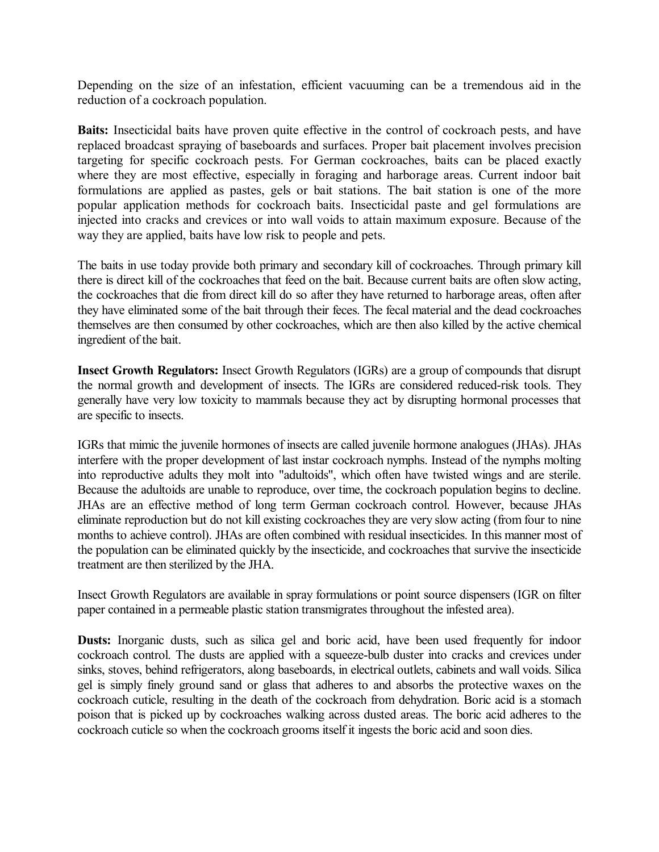Depending on the size of an infestation, efficient vacuuming can be a tremendous aid in the reduction of a cockroach population.

**Baits:** Insecticidal baits have proven quite effective in the control of cockroach pests, and have replaced broadcast spraying of baseboards and surfaces. Proper bait placement involves precision targeting for specific cockroach pests. For German cockroaches, baits can be placed exactly where they are most effective, especially in foraging and harborage areas. Current indoor bait formulations are applied as pastes, gels or bait stations. The bait station is one of the more popular application methods for cockroach baits. Insecticidal paste and gel formulations are injected into cracks and crevices or into wall voids to attain maximum exposure. Because of the way they are applied, baits have low risk to people and pets.

The baits in use today provide both primary and secondary kill of cockroaches. Through primary kill there is direct kill of the cockroaches that feed on the bait. Because current baits are often slow acting, the cockroaches that die from direct kill do so after they have returned to harborage areas, often after they have eliminated some of the bait through their feces. The fecal material and the dead cockroaches themselves are then consumed by other cockroaches, which are then also killed by the active chemical ingredient of the bait.

**Insect Growth Regulators:** Insect Growth Regulators (IGRs) are a group of compounds that disrupt the normal growth and development of insects. The IGRs are considered reduced-risk tools. They generally have very low toxicity to mammals because they act by disrupting hormonal processes that are specific to insects.

IGRs that mimic the juvenile hormones of insects are called juvenile hormone analogues (JHAs). JHAs interfere with the proper development of last instar cockroach nymphs. Instead of the nymphs molting into reproductive adults they molt into "adultoids", which often have twisted wings and are sterile. Because the adultoids are unable to reproduce, over time, the cockroach population begins to decline. JHAs are an effective method of long term German cockroach control. However, because JHAs eliminate reproduction but do not kill existing cockroaches they are very slow acting (from four to nine months to achieve control). JHAs are often combined with residual insecticides. In this manner most of the population can be eliminated quickly by the insecticide, and cockroaches that survive the insecticide treatment are then sterilized by the JHA.

Insect Growth Regulators are available in spray formulations or point source dispensers (IGR on filter paper contained in a permeable plastic station transmigrates throughout the infested area).

**Dusts:** Inorganic dusts, such as silica gel and boric acid, have been used frequently for indoor cockroach control. The dusts are applied with a squeeze-bulb duster into cracks and crevices under sinks, stoves, behind refrigerators, along baseboards, in electrical outlets, cabinets and wall voids. Silica gel is simply finely ground sand or glass that adheres to and absorbs the protective waxes on the cockroach cuticle, resulting in the death of the cockroach from dehydration. Boric acid is a stomach poison that is picked up by cockroaches walking across dusted areas. The boric acid adheres to the cockroach cuticle so when the cockroach grooms itself it ingests the boric acid and soon dies.